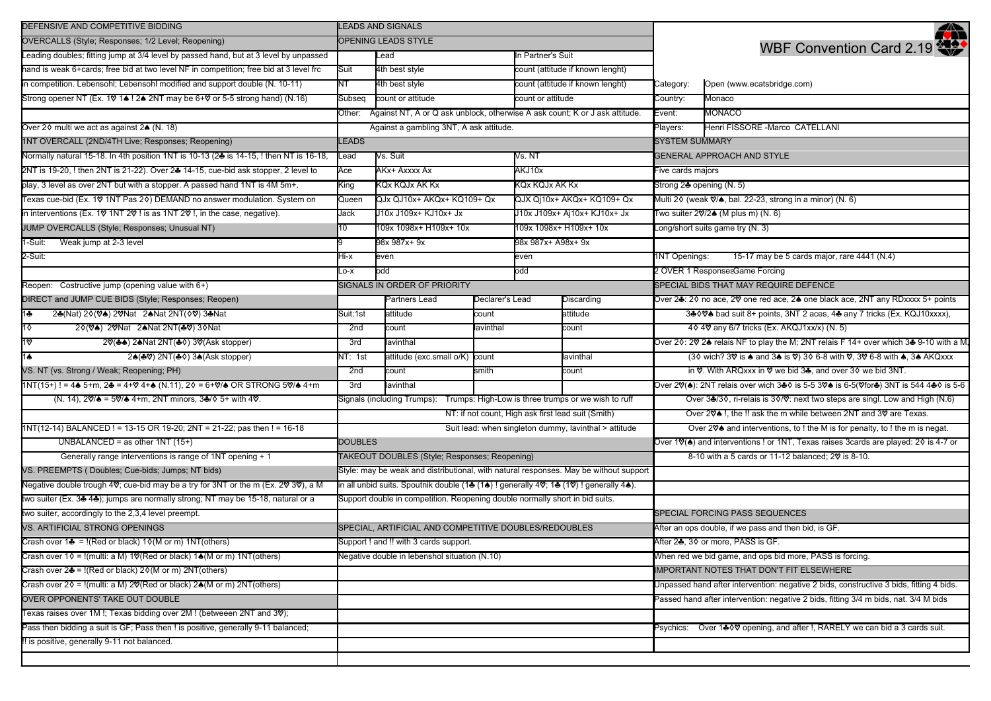| DEFENSIVE AND COMPETITIVE BIDDING                                                                                                                                        | <b>LEADS AND SIGNALS</b>                                                              |                                                                                       |                                                                                   |                                                                             |                                                                                                           |                                                                                          | ₩                                                                                    |
|--------------------------------------------------------------------------------------------------------------------------------------------------------------------------|---------------------------------------------------------------------------------------|---------------------------------------------------------------------------------------|-----------------------------------------------------------------------------------|-----------------------------------------------------------------------------|-----------------------------------------------------------------------------------------------------------|------------------------------------------------------------------------------------------|--------------------------------------------------------------------------------------|
| OVERCALLS (Style; Responses; 1/2 Level; Reopening)                                                                                                                       | <b>OPENING LEADS STYLE</b>                                                            |                                                                                       |                                                                                   |                                                                             |                                                                                                           | WBF Convention Card 2.19                                                                 |                                                                                      |
| Leading doubles; fitting jump at 3/4 level by passed hand, but at 3 level by unpassed                                                                                    |                                                                                       | Lead<br>In Partner's Suit                                                             |                                                                                   |                                                                             |                                                                                                           |                                                                                          |                                                                                      |
| hand is weak 6+cards; free bid at two level NF in competition; free bid at 3 level frc                                                                                   | Suit                                                                                  | 4th best style                                                                        |                                                                                   | count (attitude if known lenght)                                            |                                                                                                           |                                                                                          |                                                                                      |
| in competition. Lebensohl; Lebensohl modified and support double (N. 10-11)                                                                                              | NΤ                                                                                    | 4th best style                                                                        |                                                                                   | count (attitude if known lenght)                                            |                                                                                                           | Category:                                                                                | Open (www.ecatsbridge.com)                                                           |
| Strong opener NT (Ex. 10 14! 24 2NT may be 6+0 or 5-5 strong hand) (N.16)                                                                                                | Subseq                                                                                | count or attitude                                                                     |                                                                                   | count or attitude                                                           |                                                                                                           | Country:                                                                                 | Monaco                                                                               |
|                                                                                                                                                                          |                                                                                       | Other: Against NT, A or Q ask unblock, otherwise A ask count; K or J ask attitude.    |                                                                                   | Event:                                                                      | <b>MONACO</b>                                                                                             |                                                                                          |                                                                                      |
| Over 2♦ multi we act as against 2▲ (N. 18)                                                                                                                               | Against a gambling 3NT, A ask attitude.                                               |                                                                                       |                                                                                   |                                                                             | Players:                                                                                                  | Henri FISSORE -Marco CATELLANI                                                           |                                                                                      |
| 1NT OVERCALL (2ND/4TH Live; Responses; Reopening)                                                                                                                        | <b>LEADS</b>                                                                          |                                                                                       |                                                                                   |                                                                             | <b>SYSTEM SUMMARY</b>                                                                                     |                                                                                          |                                                                                      |
| Normally natural 15-18. In 4th position 1NT is 10-13 (24 is 14-15, ! then NT is 16-18,                                                                                   | _ead                                                                                  | Vs. Suit<br>√s. NT                                                                    |                                                                                   | <b>GENERAL APPROACH AND STYLE</b>                                           |                                                                                                           |                                                                                          |                                                                                      |
| 2NT is 19-20, ! then 2NT is 21-22). Over 2♣ 14-15, cue-bid ask stopper, 2 level to                                                                                       | Ace                                                                                   | AKx+ Axxxx Ax<br>AKJ10x                                                               |                                                                                   | Five cards majors                                                           |                                                                                                           |                                                                                          |                                                                                      |
| play, 3 level as over 2NT but with a stopper. A passed hand 1NT is 4M 5m+.                                                                                               | King                                                                                  | <b>KQx KQJx AK Kx</b><br>KQx KQJx AK Kx                                               |                                                                                   |                                                                             | Strong 24 opening (N. 5)                                                                                  |                                                                                          |                                                                                      |
| Texas cue-bid (Ex. 10 1NT Pas 20) DEMAND no answer modulation. System on                                                                                                 | Queen                                                                                 | QJx QJ10x+ AKQx+ KQ109+ Qx                                                            |                                                                                   |                                                                             | QJX Qj10x+ AKQx+ KQ109+ Qx                                                                                | Multi 2 $\Diamond$ (weak $\Diamond$ / $\Diamond$ , bal. 22-23, strong in a minor) (N. 6) |                                                                                      |
| in interventions (Ex. 10 1NT 20 ! is as 1NT 20 !, in the case, negative).                                                                                                | Jack                                                                                  | J10x J109x+ KJ10x+ Jx                                                                 |                                                                                   |                                                                             | J10x J109x+ Aj10x+ KJ10x+ Jx                                                                              | Two suiter $2\sqrt{2}$ (M plus m) (N. 6)                                                 |                                                                                      |
| JUMP OVERCALLS (Style; Responses; Unusual NT)                                                                                                                            | 10                                                                                    | 109x 1098x+ H109x+ 10x                                                                |                                                                                   |                                                                             | 109x 1098x+ H109x+ 10x                                                                                    |                                                                                          | Long/short suits game try (N. 3)                                                     |
| Weak jump at 2-3 level<br>1-Suit:                                                                                                                                        |                                                                                       | 98x 987x+ 9x                                                                          |                                                                                   | 98x 987x+ A98x+ 9x                                                          |                                                                                                           |                                                                                          |                                                                                      |
| 2-Suit:                                                                                                                                                                  | x-iH                                                                                  | even                                                                                  |                                                                                   | even                                                                        |                                                                                                           | 1NT Openings:                                                                            | 15-17 may be 5 cards major, rare 4441 (N.4)                                          |
|                                                                                                                                                                          | X-O.                                                                                  | odd                                                                                   |                                                                                   | odd                                                                         |                                                                                                           |                                                                                          | 2 OVER 1 ResponsesGame Forcing                                                       |
| Reopen: Costructive jump (opening value with 6+)                                                                                                                         |                                                                                       | SIGNALS IN ORDER OF PRIORITY                                                          |                                                                                   |                                                                             |                                                                                                           |                                                                                          | SPECIAL BIDS THAT MAY REQUIRE DEFENCE                                                |
| DIRECT and JUMP CUE BIDS (Style; Responses; Reopen)                                                                                                                      |                                                                                       | Partners Lead                                                                         | Declarer's Lead                                                                   |                                                                             | Discarding                                                                                                |                                                                                          | Over 2♣: 2♦ no ace, 2♥ one red ace, 2♠ one black ace, 2NT any RDxxxx 5+ points       |
| $1 +$<br>24(Nat) 20(V4) 20 Nat 24 Nat 2NT( $\Diamond$ \, 34 Nat                                                                                                          | Suit:1st                                                                              | attitude                                                                              | count                                                                             |                                                                             | attitude                                                                                                  |                                                                                          | 3♣ 0 0 bad suit 8+ points, 3NT 2 aces, 4♣ any 7 tricks (Ex. KQJ10xxxx),              |
| $1\diamond$<br>20(V4) 20 Nat 24 Nat 2NT(40) 30 Nat                                                                                                                       | 2nd                                                                                   | count                                                                                 | lavinthal                                                                         |                                                                             | count                                                                                                     |                                                                                          | 40 40 any 6/7 tricks (Ex. AKQJ1xx/x) (N. 5)                                          |
| 2♡(♣♠) 2♠Nat 2NT(♣◊) 3♡(Ask stopper)<br>1♡                                                                                                                               | 3rd                                                                                   | lavinthal                                                                             |                                                                                   |                                                                             |                                                                                                           |                                                                                          | Over 20: 20 2▲ relais NF to play the M; 2NT relais F 14+ over which 3▲ 9-10 with a M |
| 24(49) 2NT(40) 34(Ask stopper)<br>1♠                                                                                                                                     | NT: 1st                                                                               | attitude (exc.small o/K)<br>count<br>lavinthal                                        |                                                                                   |                                                                             | (30 wich? 30 is ▲ and 3▲ is 0) 30 6-8 with 0, 30 6-8 with ▲, 3▲ AKQxxx                                    |                                                                                          |                                                                                      |
| VS. NT (vs. Strong / Weak; Reopening; PH)                                                                                                                                | 2nd                                                                                   | count<br>smith<br>count                                                               |                                                                                   |                                                                             | in ♡. With ARQxxx in ♡ we bid 3÷, and over 30 we bid 3NT.                                                 |                                                                                          |                                                                                      |
| $1NT(15+)$ ! = 4 $\clubsuit$ 5+m, 2 $\clubsuit$ = 4+ $\heartsuit$ 4+ $\clubsuit$ (N.11), 2 $\lozenge$ = 6+ $\heartsuit/\clubsuit$ OR STRONG 5 $\heartsuit/\clubsuit$ 4+m | 3rd<br>lavinthal                                                                      |                                                                                       | Over 20(4): 2NT relais over wich 3♣ os 5-5 30▲ is 6-5(0for♣) 3NT is 544 4♣ os 5-6 |                                                                             |                                                                                                           |                                                                                          |                                                                                      |
| (N. 14), $2\sqrt{2} \approx 5\sqrt{4}$ 4+m, 2NT minors, $3\frac{3}{2}\sqrt{5}$ 5+ with 4 $\sqrt{2}$ .                                                                    |                                                                                       | Trumps: High-Low is three trumps or we wish to ruff<br>Signals (including Trumps):    |                                                                                   | Over 34/30, ri-relais is 30/0: next two steps are singl. Low and High (N.6) |                                                                                                           |                                                                                          |                                                                                      |
|                                                                                                                                                                          | NT: if not count, High ask first lead suit (Smith)                                    |                                                                                       |                                                                                   |                                                                             | Over 20 <sup>®</sup> I, the ‼ ask the m while between 2NT and 30 are Texas.                               |                                                                                          |                                                                                      |
| 1NT(12-14) BALANCED ! = 13-15 OR 19-20; 2NT = 21-22; pas then ! = 16-18                                                                                                  |                                                                                       | Suit lead: when singleton dummy, lavinthal > attitude                                 |                                                                                   |                                                                             | Over 2♡▲ and interventions, to ! the M is for penalty, to ! the m is negat.                               |                                                                                          |                                                                                      |
| UNBALANCED = as other $1NT(15+)$                                                                                                                                         | <b>DOUBLES</b>                                                                        |                                                                                       |                                                                                   |                                                                             | Over 1 $\mathcal{O}(\spadesuit)$ and interventions ! or 1NT, Texas raises 3cards are played: 20 is 4-7 or |                                                                                          |                                                                                      |
| Generally range interventions is range of 1NT opening + 1                                                                                                                |                                                                                       | TAKEOUT DOUBLES (Style; Responses; Reopening)                                         |                                                                                   |                                                                             |                                                                                                           |                                                                                          | 8-10 with a 5 cards or 11-12 balanced; 20 is 8-10.                                   |
| VS. PREEMPTS (Doubles; Cue-bids; Jumps; NT bids)                                                                                                                         |                                                                                       | Style: may be weak and distributional, with natural responses. May be without support |                                                                                   |                                                                             |                                                                                                           |                                                                                          |                                                                                      |
| Negative double trough 4 $\heartsuit$ ; cue-bid may be a try for 3NT or the m (Ex. 2 $\heartsuit$ 3 $\heartsuit$ ), a M                                                  | in all unbid suits. Spoutnik double (14 (14) ! generally 40; 14 (10) ! generally 44). |                                                                                       |                                                                                   |                                                                             |                                                                                                           |                                                                                          |                                                                                      |
| two suiter (Ex. 34 44); jumps are normally strong; NT may be 15-18, natural or a                                                                                         | Support double in competition. Reopening double normally short in bid suits.          |                                                                                       |                                                                                   |                                                                             |                                                                                                           |                                                                                          |                                                                                      |
| two suiter, accordingly to the 2,3,4 level preempt.                                                                                                                      |                                                                                       |                                                                                       |                                                                                   |                                                                             |                                                                                                           |                                                                                          | SPECIAL FORCING PASS SEQUENCES                                                       |
| VS. ARTIFICIAL STRONG OPENINGS                                                                                                                                           | SPECIAL, ARTIFICIAL AND COMPETITIVE DOUBLES/REDOUBLES                                 |                                                                                       |                                                                                   |                                                                             | After an ops double, if we pass and then bid, is GF.                                                      |                                                                                          |                                                                                      |
| Crash over $1\clubsuit = !(Red \text{ or black}) 10(N \text{ or m}) 1NT(others)$                                                                                         | Support ! and !! with 3 cards support.                                                |                                                                                       |                                                                                   |                                                                             |                                                                                                           | After 24, 30 or more, PASS is GF.                                                        |                                                                                      |
| Crash over $10 = 1$ (multi: a M) 10 (Red or black) 14 (M or m) 1NT (others)                                                                                              | Negative double in lebenshol situation (N.10)                                         |                                                                                       |                                                                                   |                                                                             |                                                                                                           | When red we bid game, and ops bid more, PASS is forcing.                                 |                                                                                      |
| Crash over $2\clubsuit$ = !(Red or black) $2\lozenge(M$ or m) $2NT(others)$                                                                                              |                                                                                       |                                                                                       |                                                                                   |                                                                             | IMPORTANT NOTES THAT DON'T FIT ELSEWHERE                                                                  |                                                                                          |                                                                                      |
| Crash over 20 = !(multi: a M) 2♡(Red or black) 2▲(M or m) 2NT(others)                                                                                                    |                                                                                       |                                                                                       |                                                                                   |                                                                             | Unpassed hand after intervention: negative 2 bids, constructive 3 bids, fitting 4 bids.                   |                                                                                          |                                                                                      |
| OVER OPPONENTS' TAKE OUT DOUBLE                                                                                                                                          |                                                                                       |                                                                                       |                                                                                   |                                                                             |                                                                                                           | Passed hand after intervention: negative 2 bids, fitting 3/4 m bids, nat. 3/4 M bids     |                                                                                      |
| Texas raises over 1M !; Texas bidding over 2M ! (betweeen 2NT and 30);                                                                                                   |                                                                                       |                                                                                       |                                                                                   |                                                                             |                                                                                                           |                                                                                          |                                                                                      |
| Pass then bidding a suit is GF; Pass then ! is positive, generally 9-11 balanced;                                                                                        |                                                                                       |                                                                                       |                                                                                   |                                                                             |                                                                                                           | Psychics: Over 1♣ 0 V opening, and after !, RARELY we can bid a 3 cards suit.            |                                                                                      |
| !! is positive, generally 9-11 not balanced.                                                                                                                             |                                                                                       |                                                                                       |                                                                                   |                                                                             |                                                                                                           |                                                                                          |                                                                                      |
|                                                                                                                                                                          |                                                                                       |                                                                                       |                                                                                   |                                                                             |                                                                                                           |                                                                                          |                                                                                      |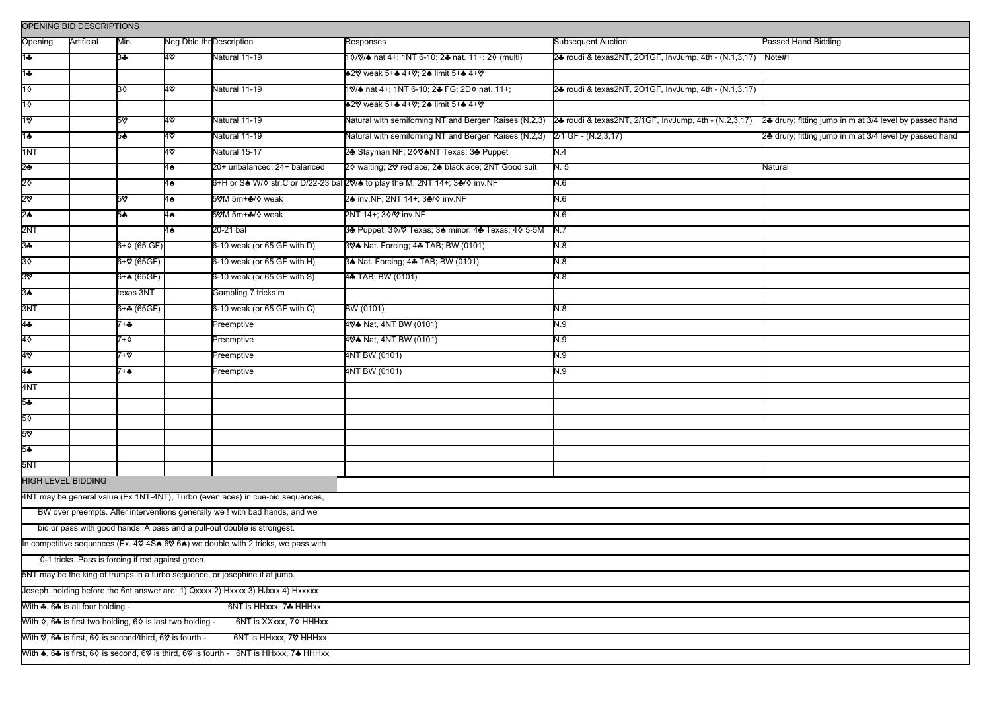| OPENING BID DESCRIPTIONS                                                                                                                                 |            |                  |                          |                               |                                                                                                             |                                                              |                                                         |
|----------------------------------------------------------------------------------------------------------------------------------------------------------|------------|------------------|--------------------------|-------------------------------|-------------------------------------------------------------------------------------------------------------|--------------------------------------------------------------|---------------------------------------------------------|
| Opening                                                                                                                                                  | Artificial | Min.             | Neg Dble thr Description |                               | Responses                                                                                                   | <b>Subsequent Auction</b>                                    | Passed Hand Bidding                                     |
| 1♣                                                                                                                                                       |            | 3÷               | 40                       | Natural 11-19                 | 10/0/4 nat 4+; 1NT 6-10; 24 nat. 11+; 20 (multi)                                                            | 24 roudi & texas2NT, 2O1GF, InvJump, 4th - (N.1,3,17) Note#1 |                                                         |
| 1♣                                                                                                                                                       |            |                  |                          |                               | +20 weak 5++ 4+0; 2+ limit 5++ 4+0                                                                          |                                                              |                                                         |
| 1♦                                                                                                                                                       |            | 30               | 40                       | Natural 11-19                 | 10/♠ nat 4+; 1NT 6-10; 2♣ FG; 2D♦ nat. 11+;                                                                 | 24 roudi & texas2NT, 2O1GF, InvJump, 4th - (N.1,3,17)        |                                                         |
| $1\diamond$                                                                                                                                              |            |                  |                          |                               | <b>42V</b> weak 5+4 4+V; 24 limit 5+4 4+V                                                                   |                                                              |                                                         |
| 1♡                                                                                                                                                       |            | 5∀               | 4♡                       | Natural 11-19                 | Natural with semiforning NT and Bergen Raises (N.2,3) 24 roudi & texas2NT, 2/1GF, InvJump, 4th - (N.2,3,17) |                                                              | 24 drury; fitting jump in m at 3/4 level by passed hand |
| 1♠                                                                                                                                                       |            | 5♠               | 4♡                       | Natural 11-19                 | Natural with semiforning NT and Bergen Raises (N.2,3) 2/1 GF - (N.2,3,17)                                   |                                                              | 24 drury; fitting jump in m at 3/4 level by passed hand |
| 1NT                                                                                                                                                      |            |                  | 4∨                       | Natural 15-17                 | 24 Stayman NF; 2004NT Texas; 34 Puppet                                                                      | N.4                                                          |                                                         |
| 2♣                                                                                                                                                       |            |                  | 4♠                       | 20+ unbalanced; 24+ balanced  | 20 waiting; 20 red ace; 24 black ace; 2NT Good suit                                                         | N. 5                                                         | Natural                                                 |
| 2٥                                                                                                                                                       |            |                  | 4♠                       |                               | 6+H or S& W/ ostr.C or D/22-23 bal 20% to play the M; 2NT 14+; 3&/ o inv.NF                                 | N.6                                                          |                                                         |
| 2ত                                                                                                                                                       |            | 5⊽               | 4♠                       | 5♡M 5m+♣/◇ weak               | 24 inv.NF; 2NT 14+; 34/ o inv.NF                                                                            | N.6                                                          |                                                         |
| 2♠                                                                                                                                                       |            | 5≜               | 4♠                       | 5♡M 5m+♣/◇ weak               | 2NT 14+; 30/ \ inv.NF                                                                                       | N.6                                                          |                                                         |
| 2NT                                                                                                                                                      |            |                  | $4\spadesuit$            | 20-21 bal                     | 34 Puppet; 30/ 7 Texas; 34 minor; 44 Texas; 40 5-5M                                                         | N.7                                                          |                                                         |
| 3♣                                                                                                                                                       |            | $6 + 0$ (65 GF)  |                          | 6-10 weak (or 65 GF with D)   | 304 Nat. Forcing; 44 TAB; BW (0101)                                                                         | 8.1                                                          |                                                         |
| 3♦                                                                                                                                                       |            | 6+V (65GF)       |                          | $6-10$ weak (or 65 GF with H) | 34 Nat. Forcing; 44 TAB; BW (0101)                                                                          | N.8                                                          |                                                         |
| 3۵                                                                                                                                                       |            | $6 + $ (65GF)    |                          | 6-10 weak (or 65 GF with S)   | 4+ TAB; BW (0101)                                                                                           | 8.11                                                         |                                                         |
| 3♠                                                                                                                                                       |            | texas 3NT        |                          | Gambling 7 tricks m           |                                                                                                             |                                                              |                                                         |
| 3NT                                                                                                                                                      |            | $6 + 4 (65 GF)$  |                          | 6-10 weak (or 65 GF with C)   | BW (0101)                                                                                                   | 8.1                                                          |                                                         |
| 44                                                                                                                                                       |            | 7+♣              |                          | Preemptive                    | 40 <sup><sup>4</sup> Nat, 4NT BW (0101)</sup>                                                               | N.9                                                          |                                                         |
| 40                                                                                                                                                       |            | 7+♦              |                          | Preemptive                    | 404 Nat, 4NT BW (0101)                                                                                      | 0.9                                                          |                                                         |
| 4ত                                                                                                                                                       |            | 7+∀              |                          | Preemptive                    | 4NT BW (0101)                                                                                               | N.9                                                          |                                                         |
| 4♠                                                                                                                                                       |            | $7 + \spadesuit$ |                          | Preemptive                    | 4NT BW (0101)                                                                                               | R.N                                                          |                                                         |
| 4NT                                                                                                                                                      |            |                  |                          |                               |                                                                                                             |                                                              |                                                         |
| 5+                                                                                                                                                       |            |                  |                          |                               |                                                                                                             |                                                              |                                                         |
| 5♦                                                                                                                                                       |            |                  |                          |                               |                                                                                                             |                                                              |                                                         |
| 5⊽                                                                                                                                                       |            |                  |                          |                               |                                                                                                             |                                                              |                                                         |
| 5♠                                                                                                                                                       |            |                  |                          |                               |                                                                                                             |                                                              |                                                         |
| 5NT                                                                                                                                                      |            |                  |                          |                               |                                                                                                             |                                                              |                                                         |
| <b>HIGH LEVEL BIDDING</b>                                                                                                                                |            |                  |                          |                               |                                                                                                             |                                                              |                                                         |
| 4NT may be general value (Ex 1NT-4NT), Turbo (even aces) in cue-bid sequences,                                                                           |            |                  |                          |                               |                                                                                                             |                                                              |                                                         |
| BW over preempts. After interventions generally we ! with bad hands, and we                                                                              |            |                  |                          |                               |                                                                                                             |                                                              |                                                         |
| bid or pass with good hands. A pass and a pull-out double is strongest.                                                                                  |            |                  |                          |                               |                                                                                                             |                                                              |                                                         |
| In competitive sequences (Ex. 40 4S& 60 6&) we double with 2 tricks, we pass with                                                                        |            |                  |                          |                               |                                                                                                             |                                                              |                                                         |
| 0-1 tricks. Pass is forcing if red against green.                                                                                                        |            |                  |                          |                               |                                                                                                             |                                                              |                                                         |
| 5NT may be the king of trumps in a turbo sequence, or josephine if at jump.                                                                              |            |                  |                          |                               |                                                                                                             |                                                              |                                                         |
| Joseph. holding before the 6nt answer are: 1) Qxxxx 2) Hxxxx 3) HJxxx 4) Hxxxxx                                                                          |            |                  |                          |                               |                                                                                                             |                                                              |                                                         |
| With $\clubsuit$ , 6 $\clubsuit$ is all four holding -<br>6NT is HHxxx, 74 HHHxx                                                                         |            |                  |                          |                               |                                                                                                             |                                                              |                                                         |
| With $\diamond$ , 64 is first two holding, 6 $\diamond$ is last two holding -<br>6NT is XXxxx, 70 HHHxx                                                  |            |                  |                          |                               |                                                                                                             |                                                              |                                                         |
| With ♡, 64 is first, 60 is second/third, 6♡ is fourth -<br>6NT is HHxxx, 7♥ HHHxx                                                                        |            |                  |                          |                               |                                                                                                             |                                                              |                                                         |
| With $\clubsuit$ , 6 $\clubsuit$ is first, 6 $\lozenge$ is second, 6 $\heartsuit$ is third, 6 $\heartsuit$ is fourth - 6NT is HHxxx, 7 $\clubsuit$ HHHxx |            |                  |                          |                               |                                                                                                             |                                                              |                                                         |
|                                                                                                                                                          |            |                  |                          |                               |                                                                                                             |                                                              |                                                         |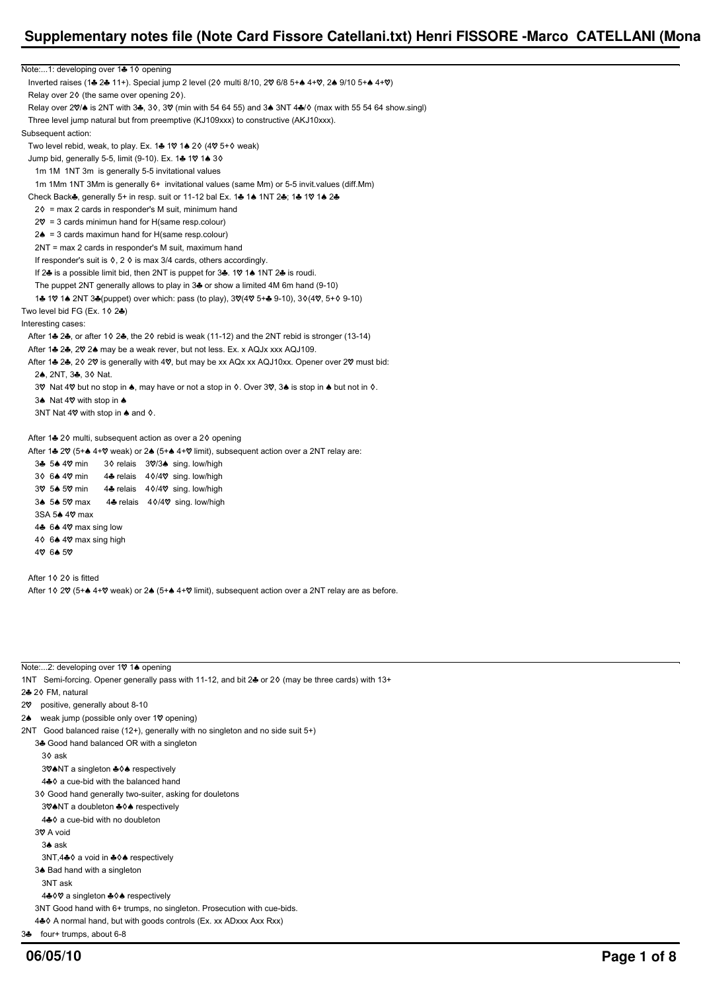# Note:...1: developing over 14 1  $\diamond$  opening Inverted raises (1+ 2+ 11+). Special jump 2 level (20 multi 8/10, 20 6/8 5+ 4+ 0, 2+ 9/10 5+ 4+0) Relay over  $2\diamond$  (the same over opening  $2\diamond$ ). Relay over 20% is 2NT with 3 $\clubsuit$ , 3 $\lozenge$ , 30 (min with 54 64 55) and 3 $\spadesuit$  3NT 4 $\clubsuit$ / $\lozenge$  (max with 55 54 64 show.singl) Three level jump natural but from preemptive (KJ109xxx) to constructive (AKJ10xxx). Subsequent action: Two level rebid, weak, to play. Ex. 1 $\clubsuit$  1 $\heartsuit$  1 $\spadesuit$  2 $\lozenge$  (4 $\heartsuit$  5+ $\lozenge$  weak) Jump bid, generally 5-5, limit (9-10). Ex. 14 1\, 14 3\ 1m 1M 1NT 3m is generally 5-5 invitational values 1m 1Mm 1NT 3Mm is generally 6+ invitational values (same Mm) or 5-5 invit.values (diff.Mm) Check Back $\clubsuit$ , generally 5+ in resp. suit or 11-12 bal Ex. 1 $\clubsuit$  1 $\spadesuit$  1NT 2 $\clubsuit$ ; 1 $\clubsuit$  1 $\heartsuit$  1 $\spadesuit$  2 $\clubsuit$  $2\delta$  = max 2 cards in responder's M suit, minimum hand  $2\%$  = 3 cards minimun hand for H(same resp.colour)  $2\spadesuit$  = 3 cards maximun hand for H(same resp.colour) 2NT = max 2 cards in responder's M suit, maximum hand If responder's suit is  $\Diamond$ , 2  $\Diamond$  is max 3/4 cards, others accordingly. If 24 is a possible limit bid, then 2NT is puppet for 34. 10 14 1NT 24 is roudi. The puppet 2NT generally allows to play in 34 or show a limited 4M 6m hand (9-10) 1& 1V 1& 2NT 3& (puppet) over which: pass (to play), 3V(4V 5+& 9-10), 3 $\lozenge$  (4V, 5+ $\lozenge$  9-10) Two level bid FG (Ex.  $1\diamond 2\clubsuit$ ) Interesting cases: After 1 $\clubsuit$  2 $\clubsuit$ , or after 1 $\diamond$  2 $\clubsuit$ , the 2 $\diamond$  rebid is weak (11-12) and the 2NT rebid is stronger (13-14) After 1& 2&, 20 2& may be a weak rever, but not less. Ex. x AQJx xxx AQJ109. After 1& 2&, 2 $\Diamond$  2 $\Diamond$  is generally with 4 $\Diamond$ , but may be xx AQx xx AQJ10xx. Opener over 2 $\Diamond$  must bid: 2A 2NT, 3& 3Å Nat. 3 $\degree$  Nat 4 $\degree$  but no stop in  $\spadesuit$ , may have or not a stop in  $\lozenge$ . Over 3 $\degree$ , 3 $\spadesuit$  is stop in  $\spadesuit$  but not in  $\lozenge$ . 34 Nat 4 $\heartsuit$  with stop in  $\clubsuit$ 3NT Nat 4 $\heartsuit$  with stop in  $\spadesuit$  and  $\diamond$ . After 14 2 0 multi, subsequent action as over a 2 0 opening After 1& 2V (5+& 4+V weak) or 2& (5+& 4+V limit), subsequent action over a 2NT relay are: 3 $\clubsuit$  5 $\spadesuit$  4 $\hearts$  min 3 $\lozenge$  relais 3 $\heartsuit$ /3 $\spadesuit$  sing. low/high 3 $\lozenge$  6 $\triangle$  4 $\heartsuit$  min 4 $\triangle$  relais 4 $\lozenge$ /4 $\heartsuit$  sing. low/high 3 $\sqrt{$  5 $\triangle$  5 $\sqrt{ }$  min 4 $\triangle$  relais 4 $\sqrt[6]{4}$  sing. low/high 34 54 50 max 44 relais 40/40 sing. low/high  $3SA<sub>5</sub>$  40 max 4♣ 6♠ 4♡ max sing low  $4\delta$  6 $\clubsuit$  4 $\heartsuit$  max sing high

- 4\ 64.5\
- After  $1\Diamond 2\Diamond$  is fitted After 1  $\lozenge$  2 $\lozenge$  (5+ $\spadesuit$  4+ $\heartsuit$  weak) or 2 $\spadesuit$  (5+ $\spadesuit$  4+ $\heartsuit$  limit), subsequent action over a 2NT relay are as before.

#### Note:...2: developing over 10 14 opening

1NT Semi-forcing. Opener generally pass with 11-12, and bit 24 or 20 (may be three cards) with 13+ 2<sub>4</sub> 26 FM, natural

- 2 $\heartsuit$  positive, generally about 8-10
- 24 weak jump (possible only over 10 opening)
- 2NT Good balanced raise (12+), generally with no singleton and no side suit 5+)
	- 34 Good hand balanced OR with a singleton
	- $30$  ask
	- 30<sup>6</sup>NT a singleton  $*$   $\Diamond$  respectively
	- 4 $*$  a cue-bid with the balanced hand
	- 3{ Good hand generally two-suiter, asking for douletons
	- 30<sup>6</sup>NT a doubleton  $*$   $*$  respectively
	- 4♣ ∂ a cue-bid with no doubleton
	- 3<sub>V</sub> A void
	- 3<sup>A</sup> ask
	- 3NT,4♣◊ a void in ♣◊♠ respectively
	- 3<sup> $\triangle$ </sup> Bad hand with a singleton
	- 3NT ask
	- 4♣ 0 % a singleton ♣ 0 ♦ respectively
	- 3NT Good hand with 6+ trumps, no singleton. Prosecution with cue-bids.
	- 4 $\clubsuit$  A normal hand, but with goods controls (Ex. xx ADxxx Axx Rxx)
- 3} four+ trumps, about 6-8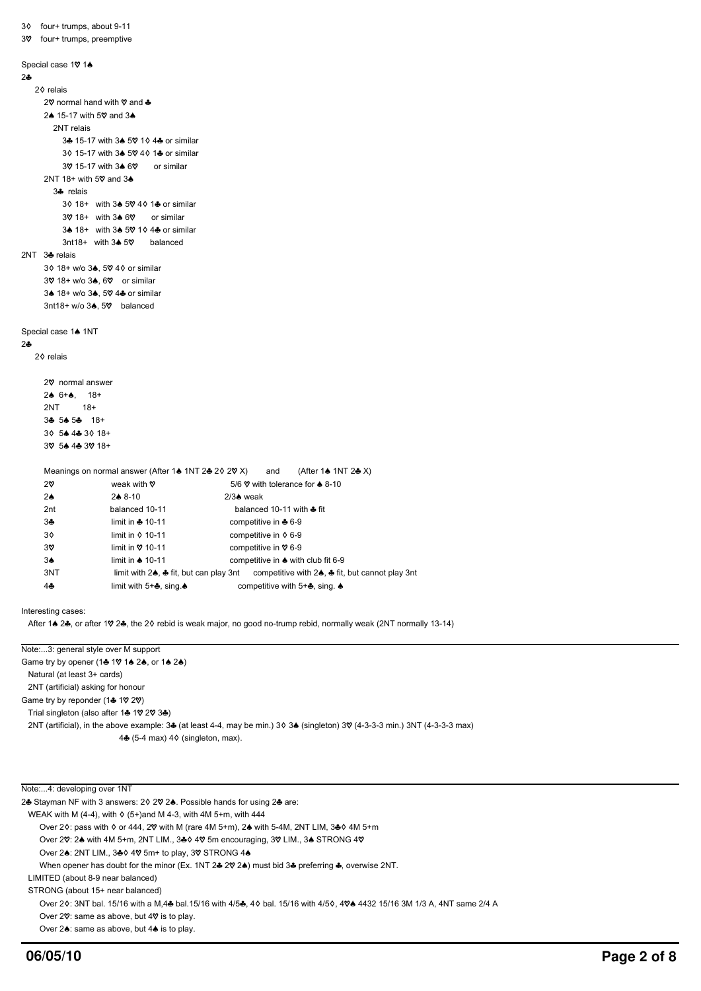```
3{ four+ trumps, about 9-11
3% four+ trumps, preemptive
Special case 10 14
242<sup>0</sup> relais
      2\heartsuit normal hand with \heartsuit and \clubsuit2\spadesuit 15-17 with 5\heartsuit and 3\spadesuit 2NT relais
            3\clubsuit 15-17 with 3\spadesuit 50 1\diamond 4\clubsuit or similar
            3^ 15-17 with 34 50 4^ 14 or similar
            30 15-17 with 3<sup>6</sup> 60 or similar
       2NT 18+ with 5\heartsuit and 3\spadesuit 3} relais
            3\lozenge 18+ with 3\lozenge 5\lozenge 4\lozenge 1\clubsuit or similar
            3018+ with 3460 or similar
            3\spadesuit 18+ with 3\spadesuit 50 1\lozenge 4\clubsuit or similar
            3nt18+ with 3\spadesuit 5\heartsuit balanced
2NT \t3 relais
      3\lozenge 18+ w/o 3\clubsuit, 5\heartsuit 4\lozenge or similar
      39 18+ w/o 3\clubsuit, 69 or similar
      3<sup>6</sup> 18+ w/o 3<sup>6</sup>, 5\% 4<sup>8</sup> or similar
      3nt18+ w/o 3\spadesuit, 5\heartsuit balanced
Special case 1<sup>4</sup> 1NT
242<sup>o</sup> relais
      2% normal answer
      2\spadesuit 6+\spadesuit, 18+
       2NT 18+
      3\clubsuit 5\spadesuit 5\clubsuit 18+
      3\, 5\bullet 4\clubsuit 3\lozenge 18+
      30 54 44 30 18+
      Meanings on normal answer (After 1\triangle 1NT 2\triangle 2\Diamond 2\Diamond X) and (After 1\triangle 1NT 2\triangle X)
      2\heartsuit weak with \heartsuit 5/6 \heartsuit with tolerance for \clubsuit 8-10
      2\spadesuit 2 2\spadesuit 8-10 2/3\spadesuit weak
       2nt balanced 10-11 balanced 10-11 balanced 10-11 with \triangleq fit
        3} limit in } 10-11 competitive in } 6-9
      3\Diamond limit in \Diamond 10-11 competitive in \Diamond 6-9
      3\% limit in \% 10-11 competitive in \% 6-9
      34 limit in \triangle 10-11 competitive in \triangle with club fit 6-9
      3NT limit with 24, \clubsuit fit, but can play 3nt competitive with 24, \clubsuit fit, but cannot play 3nt
       4♣ limit with 5+♣, sing. 4 competitive with 5+♣, sing. 4
```
Interesting cases:

After 1 $\triangle$  2 $\clubsuit$ , or after 1 $\heartsuit$  2 $\clubsuit$ , the 2 $\lozenge$  rebid is weak major, no good no-trump rebid, normally weak (2NT normally 13-14)

Note:...3: general style over M support Game try by opener (14 10 14 24, or 14 24) Natural (at least 3+ cards) 2NT (artificial) asking for honour Game try by reponder (14 1 $\heartsuit$  2 $\heartsuit$ ) Trial singleton (also after 14 1\, 2\, 34) 2NT (artificial), in the above example: 3 $\clubsuit$  (at least 4-4, may be min.) 3 $\lozenge$  3 $\spadesuit$  (singleton) 3 $\heartsuit$  (4-3-3-3 min.) 3NT (4-3-3-3 max) 4 $\clubsuit$  (5-4 max) 4 $\diamond$  (singleton, max).

Note:...4: developing over 1NT

24 Stayman NF with 3 answers: 20 20 24. Possible hands for using 24 are:

WEAK with M (4-4), with  $\Diamond$  (5+)and M 4-3, with 4M 5+m, with 444

Over 20: pass with  $\Diamond$  or 444, 2 $\Diamond$  with M (rare 4M 5+m), 24 with 5-4M, 2NT LIM, 34  $\Diamond$  4M 5+m

Over 20: 24 with 4M 5+m, 2NT LIM., 34 40 5m encouraging, 30 LIM., 34 STRONG 40

Over 24: 2NT LIM., 340 40 5m+ to play, 30 STRONG 44

When opener has doubt for the minor (Ex. 1NT 24 20 24) must bid 34 preferring 4, overwise 2NT.

LIMITED (about 8-9 near balanced)

STRONG (about 15+ near balanced)

Over 20: 3NT bal. 15/16 with a M,4 $\clubsuit$  bal.15/16 with 4/5 $\clubsuit$ , 40 bal. 15/16 with 4/50, 40 $\spadesuit$  4432 15/16 3M 1/3 A, 4NT same 2/4 A

Over 2 $\heartsuit$ : same as above, but 4 $\heartsuit$  is to play.

Over  $2\spadesuit$ : same as above, but  $4\spadesuit$  is to play.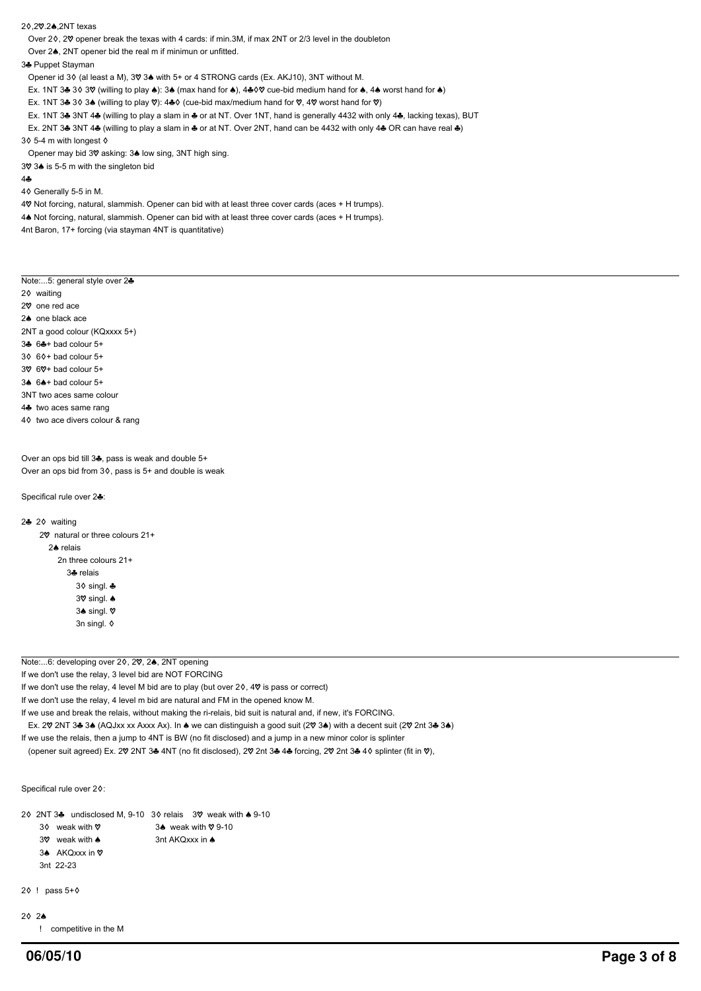20.20.2<sup>6</sup>.2NT texas

Over 20, 20 opener break the texas with 4 cards: if min.3M, if max 2NT or 2/3 level in the doubleton

Over 2<sup>4</sup>, 2NT opener bid the real m if minimun or unfitted.

#### 34 Puppet Stayman

Opener id 3 $\Diamond$  (al least a M), 3 $\Diamond$  3 $\spadesuit$  with 5+ or 4 STRONG cards (Ex. AKJ10), 3NT without M.

Ex. 1NT 3 $\clubsuit$  3 $\lozenge$  3 $\heartsuit$  (willing to play  $\spadesuit$ ): 3 $\spadesuit$  (max hand for  $\spadesuit$ ), 4 $\clubsuit$   $\lozenge$  cue-bid medium hand for  $\spadesuit$ , 4 $\spadesuit$  worst hand for  $\spadesuit$ )

Ex. 1NT 3 $\clubsuit$  3 $\diamond$  3 $\spadesuit$  (willing to play  $\heartsuit$ ): 4 $\clubsuit \diamond$  (cue-bid max/medium hand for  $\heartsuit$ , 4 $\heartsuit$  worst hand for  $\heartsuit$ )

- Ex. 1NT 3& 3NT 4& (willing to play a slam in & or at NT. Over 1NT, hand is generally 4432 with only 4&, lacking texas), BUT
- Ex. 2NT 3 $\clubsuit$  3NT 4 $\clubsuit$  (willing to play a slam in  $\clubsuit$  or at NT. Over 2NT, hand can be 4432 with only 4 $\clubsuit$  OR can have real  $\clubsuit$ )

3 $\diamond$  5-4 m with longest  $\diamond$ 

Opener may bid 3 $\heartsuit$  asking: 3 $\spadesuit$  low sing, 3NT high sing.

3 $\sqrt{$  3 $\triangle$  is 5-5 m with the singleton bid

#### $44$

4 $\Diamond$  Generally 5-5 in M.

4 $\heartsuit$  Not forcing, natural, slammish. Opener can bid with at least three cover cards (aces + H trumps). 4<sup> N</sup>ot forcing, natural, slammish. Opener can bid with at least three cover cards (aces + H trumps). 4nt Baron, 17+ forcing (via stayman 4NT is quantitative)

Note:...5: general style over 24

2 $\Diamond$  waiting

2<sup> $\sigma$ </sup> one red ace

- 2<sup>a</sup> one black ace
- 2NT a good colour (KQxxxx 5+)
- $3\clubsuit$  6 $\clubsuit$ + bad colour 5+

 $3\Diamond$  6 $\Diamond$ + bad colour 5+

- $3\%$  6 $\%$ + bad colour 5+
- $3\spadesuit$  6 $\spadesuit$ + bad colour 5+
- 3NT two aces same colour
- 4<sup>%</sup> two aces same rang
- 4<sup>o</sup> two ace divers colour & rang

Over an ops bid till 34, pass is weak and double 5+ Over an ops bid from  $3\Diamond$ , pass is  $5+$  and double is weak

Specifical rule over 24:

```
2÷ 2◊ waiting
      2\heartsuit natural or three colours 21+
         2A relais
            2n three colours 21+
                3<sup>%</sup> relais
                   3\delta singl. \clubsuit3\% singl. \spadesuit3♠ singl. ♡
                    3n singl. \diamond
```
Note:...6: developing over 20, 20, 24, 2NT opening

If we don't use the relay, 3 level bid are NOT FORCING

If we don't use the relay, 4 level M bid are to play (but over  $2\diamond$ ,  $4\heartsuit$  is pass or correct)

If we don't use the relay, 4 level m bid are natural and FM in the opened know M.

If we use and break the relais, without making the ri-relais, bid suit is natural and, if new, it's FORCING.

Ex. 20 2NT 3& 3& (AQJxx xx Axxx Ax). In & we can distinguish a good suit (20 3&) with a decent suit (20 2nt 3& 3&)

If we use the relais, then a jump to 4NT is BW (no fit disclosed) and a jump in a new minor color is splinter

(opener suit agreed) Ex. 2 $\sqrt{v}$  2NT 3 $\triangleq$  4NT (no fit disclosed), 2 $\sqrt{v}$  2nt 3 $\triangleq$  4 $\triangleq$  forcing, 2 $\sqrt{v}$  2nt 3 $\triangleq$  4 $\Diamond$  splinter (fit in  $\sqrt{v}$ ),

Specifical rule over 20:

2 $\lozenge$  2NT 3 $\clubsuit$  undisclosed M, 9-10 3 $\lozenge$  relais 3 $\heartsuit$  weak with  $\spadesuit$  9-10

```
30 weak with \theta 34 weak with \theta 9-10
```
- $3\%$  weak with  $\bullet$  3nt AKQxxx in  $\bullet$
- 3<sup>€</sup> AKQxxx in  $\heartsuit$

```
 3nt 22-23
```

```
2{\lozenge} ! pass 5+{\lozenge}
```

```
20.24
```
! competitive in the M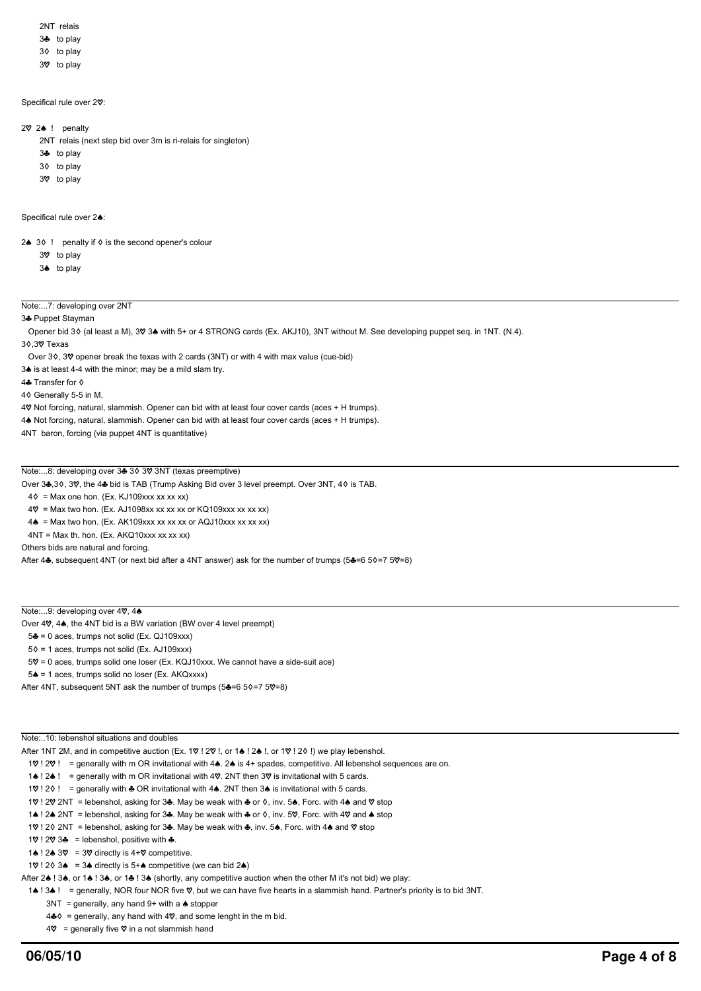2NT relais

- 3<sup>3</sup> to play
- 3 $\lozenge$  to play
- 3 $\mathcal$  to play
- 

#### Specifical rule over 20:

- $2\%$  ! penalty
	- 2NT relais (next step bid over 3m is ri-relais for singleton)
	- $3$  to play
	- 3 $\lozenge$  to play
	- 3 $\heartsuit$  to play

Specifical rule over 2<sup>4</sup>

2 $\bullet$  3 $\lozenge$  ! penalty if  $\lozenge$  is the second opener's colour

- $3<sup>o</sup>$  to play
- $3\spadesuit$  to play

## Note:...7: developing over 2NT

34 Puppet Stayman

Opener bid 36 (al least a M), 39 3<sup>\*</sup> with 5+ or 4 STRONG cards (Ex. AKJ10), 3NT without M. See developing puppet seq. in 1NT. (N.4).

30 30 Texas

Over 3¢, 3 $\heartsuit$  opener break the texas with 2 cards (3NT) or with 4 with max value (cue-bid)

3<sup>4</sup> is at least 4-4 with the minor; may be a mild slam try.

4 Transfer for  $\diamond$ 

4{ Generally 5-5 in M.

4 $\heartsuit$  Not forcing, natural, slammish. Opener can bid with at least four cover cards (aces + H trumps).

4<sup>.</sup> Not forcing, natural, slammish. Opener can bid with at least four cover cards (aces + H trumps).

4NT baron, forcing (via puppet 4NT is quantitative)

### Note:...8: developing over 34 3  $\Diamond$  3  $\Diamond$  3NT (texas preemptive)

Over 34,30, 30, the 44 bid is TAB (Trump Asking Bid over 3 level preempt. Over 3NT, 40 is TAB.

- $4\delta$  = Max one hon. (Ex. KJ109xxx xx xx xx)
- $4\text{V}$  = Max two hon. (Ex. AJ1098xx xx xx xx or KQ109xxx xx xx xx)
- $4\spadesuit$  = Max two hon. (Ex. AK109xxx xx xx xx or AQJ10xxx xx xx xx)
- $4NT = Max th.$  hon. (Ex.  $AKQ10xxx$  xx xx xx)

Others bids are natural and forcing.

After 44, subsequent 4NT (or next bid after a 4NT answer) ask for the number of trumps (54=6 50=7 50=8)

### Note:...9: developing over 4 $9, 4$

Over 4 $\heartsuit$ , 4 $\spadesuit$ , the 4NT bid is a BW variation (BW over 4 level preempt)

5} = 0 aces, trumps not solid (Ex. QJ109xxx)

 $5$  = 1 aces, trumps not solid (Ex. AJ109xxx)

 $5\% = 0$  aces, trumps solid one loser (Ex. KQJ10xxx. We cannot have a side-suit ace)

 $5\spadesuit$  = 1 aces, trumps solid no loser (Ex. AKQxxxx)

After 4NT, subsequent 5NT ask the number of trumps ( $5\clubsuit=65$   $6=75$   $9=8$ )

Note: 10: lebenshol situations and doubles

After 1NT 2M, and in competitive auction (Ex. 19.1.29, L or 14.1.2.4, L or 19.1.2.6, I) we play lebenshol.

1 $\varphi$  !  $\varphi$  ! = generally with m OR invitational with 4 $\clubsuit$ . 2 $\spadesuit$  is 4+ spades, competitive. All lebenshol sequences are on.

1<sup>4</sup> ! 2<sup>4</sup> ! = generally with m OR invitational with 4 $\heartsuit$ . 2NT then 3 $\heartsuit$  is invitational with 5 cards.

10! 20! = generally with  $\clubsuit$  OR invitational with 4 $\spadesuit$ . 2NT then 3 $\spadesuit$  is invitational with 5 cards.

1 $\degree$  ! 2 $\degree$  2NT = lebenshol, asking for 34. May be weak with 4 or  $\diamond$ , inv. 54, Forc. with 44 and  $\degree$  stop

1 $\bullet$  ! 2 $\bullet$  2NT = lebenshol, asking for 3 $\clubsuit$ . May be weak with  $\clubsuit$  or  $\diamond$ , inv. 5 $\heartsuit$ , Forc. with 4 $\heartsuit$  and  $\spadesuit$  stop

1 $\sqrt{v}$  ! 2 $\sqrt{v}$  2NT = lebenshol, asking for 34. May be weak with 4, inv. 54, Forc. with 44 and  $\sqrt{v}$  stop

1 $\sqrt{$  ! 2 $\sqrt{}$  3 $\triangle$  = lebenshol, positive with  $\triangle$ .

1 $\bullet$  ! 2 $\bullet$  3 $\heartsuit$  = 3 $\heartsuit$  directly is 4+ $\heartsuit$  competitive.

1 $\sqrt{0}$  ! 2 $\sqrt{0}$  3  $\triangle$  = 3 $\triangle$  directly is 5+ $\triangle$  competitive (we can bid 2 $\triangle$ )

After 2<sup> $\triangle$ </sup> ! 3 $\triangle$ , or 1 $\triangle$  ! 3 $\triangle$ , or 1 $\triangle$  ! 3 $\triangle$  (shortly, any competitive auction when the other M it's not bid) we play:

1<sup>4</sup> ! 3<sup>4</sup> ! = generally, NOR four NOR five  $\heartsuit$ , but we can have five hearts in a slammish hand. Partner's priority is to bid 3NT.

 $3NT =$  generally, any hand 9+ with a  $\triangle$  stopper

4 $*$  = generally, any hand with 4 $\heartsuit$ , and some lenght in the m bid.

 $4\%$  = generally five  $\%$  in a not slammish hand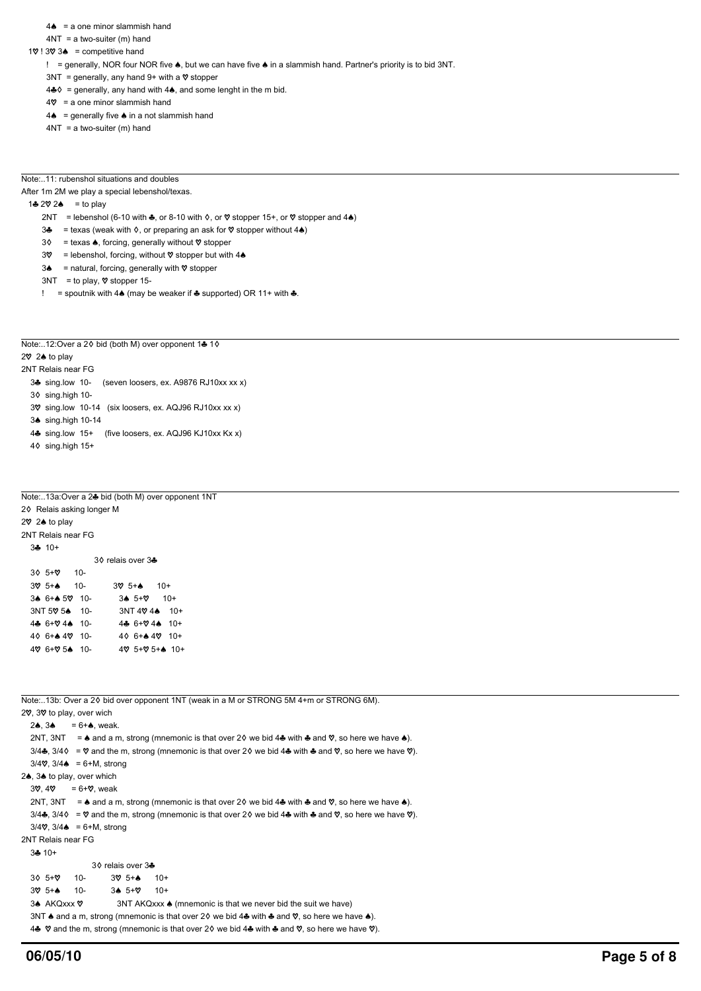- $4\spadesuit$  = a one minor slammish hand
- $4NT = a$  two-suiter (m) hand
- $1\heartsuit$  !  $3\heartsuit$  3 $\spadesuit$  = competitive hand
	- ! = generally, NOR four NOR five  $\spadesuit$ , but we can have five  $\spadesuit$  in a slammish hand. Partner's priority is to bid 3NT.
	- $3NT =$  generally, any hand 9+ with a  $\heartsuit$  stopper
	- 4 $\clubsuit$  = generally, any hand with 4 $\spadesuit$ , and some lenght in the m bid.
	- $4\%$  = a one minor slammish hand
	- $4\spadesuit$  = generally five  $\spadesuit$  in a not slammish hand
	- $4NT = a$  two-suiter (m) hand
- Note:..11: rubenshol situations and doubles

After 1m 2M we play a special lebenshol/texas.

- 1 $\clubsuit$  2 $\heartsuit$  2 $\spadesuit$  = to play
	- 2NT = lebenshol (6-10 with  $\clubsuit$ , or 8-10 with  $\diamond$ , or  $\heartsuit$  stopper 15+, or  $\heartsuit$  stopper and 4 $\spadesuit$ )
	- 34 = texas (weak with  $\Diamond$ , or preparing an ask for  $\Diamond$  stopper without 4<sup>(a)</sup>)
	- $3\Diamond$  = texas  $\triangle$ , forcing, generally without  $\heartsuit$  stopper
	- $3\%$  = lebenshol, forcing, without  $\%$  stopper but with 4 $\&$
	- $3\spadesuit$  = natural, forcing, generally with  $\heartsuit$  stopper
	- $3NT =$  to play,  $\heartsuit$  stopper 15-
	- ! = spoutnik with  $4\spadesuit$  (may be weaker if  $\clubsuit$  supported) OR 11+ with  $\clubsuit$ .

Note:..12:Over a 2 $\lozenge$  bid (both M) over opponent 1 $\clubsuit$  1 $\lozenge$ 

# $2\%$  2 $\bullet$  to play

2NT Relais near FG

- 3<sup>3</sup> sing.low 10- (seven loosers, ex. A9876 RJ10xx xx x)
- 3 $\Diamond$  sing.high 10-
- 3 $\%$  sing.low 10-14 (six loosers, ex. AQJ96 RJ10xx xx x)
- 3<sup> $\bullet$ </sup> sing.high 10-14
- 4} sing.low 15+ (five loosers, ex. AQJ96 KJ10xx Kx x)
- $4\delta$  sing.high 15+

## Note:..13a:Over a 2} bid (both M) over opponent 1NT

| 20 Relais asking longer M |                                   |  |
|---------------------------|-----------------------------------|--|
| 2♡ 2♠ to play             |                                   |  |
| 2NT Relais near FG        |                                   |  |
| $3 + 10 +$                |                                   |  |
|                           | 30 relais over 3♣                 |  |
| $30.5 + 8$ 10-            |                                   |  |
| $3\%$ 5+ $\spadesuit$ 10- | $3\%$ 5+ $\spadesuit$ 10+         |  |
| 34 6+4 59 10-             | $34.5+8$ 10+                      |  |
| 3NT 50 54 10-             | $3NT 4024$ $10+$                  |  |
| 44 6+ 944 10-             | 44 $6+94$ $44$ 10+                |  |
| 40 6+44 49 10-            | 40 6+ $\spadesuit$ 40 10+         |  |
| 49 6+9 54 10-             | $4\%$ 5+ $\%$ 5+ $\spadesuit$ 10+ |  |
|                           |                                   |  |

| Note:13b: Over a 2 $\lozenge$ bid over opponent 1NT (weak in a M or STRONG 5M 4+m or STRONG 6M).                                                                         |  |  |  |  |  |
|--------------------------------------------------------------------------------------------------------------------------------------------------------------------------|--|--|--|--|--|
| 20, 30 to play, over wich                                                                                                                                                |  |  |  |  |  |
| 24.34<br>$= 6 + \spadesuit$ , weak.                                                                                                                                      |  |  |  |  |  |
| 2NT, 3NT = $\bullet$ and a m, strong (mnemonic is that over 20 we bid 4 $\bullet$ with $\bullet$ and $\heartsuit$ , so here we have $\bullet$ ).                         |  |  |  |  |  |
| 3/4. $\frac{3}{4}$ , 3/4. $\Diamond$ = $\Diamond$ and the m, strong (mnemonic is that over 2. $\Diamond$ we bid 4. with A and $\Diamond$ , so here we have $\Diamond$ ). |  |  |  |  |  |
| $3/4$ , $3/4$ = 6+M, strong                                                                                                                                              |  |  |  |  |  |
| 2 <sup>4</sup> , 3 <sup>4</sup> to play, over which                                                                                                                      |  |  |  |  |  |
| $3\%$ , $4\%$ = 6+ $\%$ , weak                                                                                                                                           |  |  |  |  |  |
| 2NT, 3NT = $\bullet$ and a m, strong (mnemonic is that over 20 we bid 4 $\bullet$ with $\bullet$ and $\heartsuit$ , so here we have $\bullet$ ).                         |  |  |  |  |  |
| 3/4. $\frac{3}{4}$ , 3/4. $\Diamond$ = $\Diamond$ and the m, strong (mnemonic is that over 2. $\Diamond$ we bid 4. with A and $\Diamond$ , so here we have $\Diamond$ ). |  |  |  |  |  |
| $3/4$ , $3/4$ = 6+M, strong                                                                                                                                              |  |  |  |  |  |
| 2NT Relais near FG                                                                                                                                                       |  |  |  |  |  |
| $3 + 10 +$                                                                                                                                                               |  |  |  |  |  |
| 3♦ relais over 34                                                                                                                                                        |  |  |  |  |  |
| $30.5+8$<br>10-<br>$10+$<br>$30.5 + A$                                                                                                                                   |  |  |  |  |  |
| $3075 + $<br>$34.5 + 8$<br>$10+$<br>10-                                                                                                                                  |  |  |  |  |  |
| 3▲ AKQxxx ♡<br>3NT AKQxxx ♦ (mnemonic is that we never bid the suit we have)                                                                                             |  |  |  |  |  |
| 3NT $\bullet$ and a m, strong (mnemonic is that over 20 we bid 4 $\bullet$ with $\bullet$ and $\heartsuit$ , so here we have $\bullet$ ).                                |  |  |  |  |  |
| 4. $\heartsuit$ and the m, strong (mnemonic is that over 20 we bid 4. with A and $\heartsuit$ , so here we have $\heartsuit$ ).                                          |  |  |  |  |  |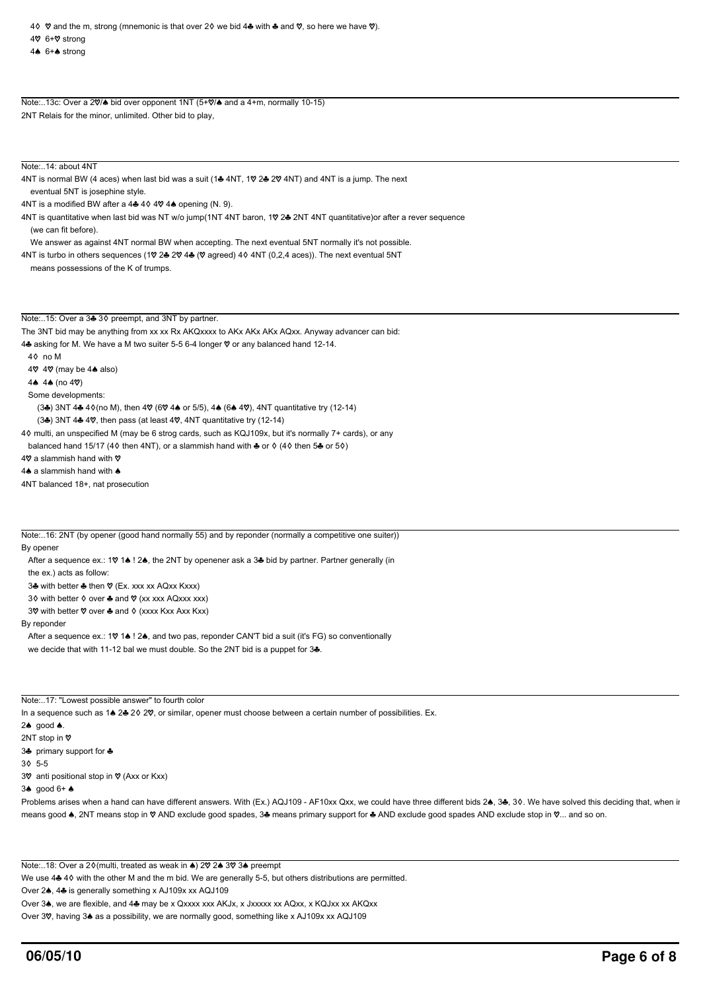4<sup>e</sup> 6+<sup>e</sup> strong

Note:..13c: Over a 20/ $\blacktriangle$  bid over opponent 1NT (5+0/ $\blacktriangle$  and a 4+m, normally 10-15) 2NT Relais for the minor, unlimited. Other bid to play,

Note: 14: about 4NT

4NT is normal BW (4 aces) when last bid was a suit (14 4NT, 10 24 20 4NT) and 4NT is a jump. The next eventual 5NT is josephine style.

4NT is a modified BW after a  $4\clubsuit$  4 $\lozenge$  4 $\heartsuit$  4 $\spadesuit$  opening (N. 9).

4NT is quantitative when last bid was NT w/o jump(1NT 4NT baron, 10 2& 2NT 4NT quantitative)or after a rever sequence (we can fit before).

We answer as against 4NT normal BW when accepting. The next eventual 5NT normally it's not possible.

4NT is turbo in others sequences (1 $\sqrt{$  2 $\bullet$  2 $\sqrt{$  4 $\bullet}$  ( $\sqrt{$  agreed) 4 $\lozenge$  4NT (0,2,4 aces)). The next eventual 5NT means possessions of the K of trumps.

Note:..15: Over a 34 30 preempt, and 3NT by partner.

The 3NT bid may be anything from xx xx Rx AKQxxxx to AKx AKx AKx AQxx. Anyway advancer can bid: 4<sup>%</sup> asking for M. We have a M two suiter 5-5 6-4 longer  $\heartsuit$  or any balanced hand 12-14. 4{ no M  $4\%$  4 $\%$  (may be 4 $\spadesuit$  also) 4 $\spadesuit$  4 $\spadesuit$  (no 4 $\heartsuit$ ) Some developments:  $(3\clubsuit)$  3NT 4 $\clubsuit$  4 $\lozenge$ (no M), then 4 $\heartsuit$  (6 $\heartsuit$  4 $\spadesuit$  or 5/5), 4 $\spadesuit$  (6 $\spadesuit$  4 $\heartsuit$ ), 4NT quantitative try (12-14)  $(3\clubsuit)$  3NT 4 $\clubsuit$  4 $\heartsuit$ , then pass (at least 4 $\heartsuit$ , 4NT quantitative try (12-14) 4{ multi, an unspecified M (may be 6 strog cards, such as KQJ109x, but it's normally 7+ cards), or any

balanced hand 15/17 (4 $\lozenge$  then 4NT), or a slammish hand with  $\clubsuit$  or  $\lozenge$  (4 $\lozenge$  then 5 $\clubsuit$  or 5 $\lozenge$ )

4 $\heartsuit$  a slammish hand with  $\heartsuit$ 

 $4\spadesuit$  a slammish hand with  $\spadesuit$ 

4NT balanced 18+, nat prosecution

Note:..16: 2NT (by opener (good hand normally 55) and by reponder (normally a competitive one suiter))

By opener

After a sequence ex.: 10 14 ! 24, the 2NT by openener ask a 34 bid by partner. Partner generally (in

the ex.) acts as follow:

3♣ with better ♣ then ♡ (Ex. xxx xx AQxx Kxxx)

3 $\diamond$  with better  $\diamond$  over  $\clubsuit$  and  $\heartsuit$  (xx xxx AQxxx xxx)

3 $\heartsuit$  with better  $\heartsuit$  over  $\clubsuit$  and  $\lozenge$  (xxxx Kxx Axx Kxx)

By reponder

After a sequence ex.: 10 14 ! 24, and two pas, reponder CAN'T bid a suit (it's FG) so conventionally we decide that with 11-12 bal we must double. So the 2NT bid is a puppet for  $3\clubsuit$ .

Note:..17: "Lowest possible answer" to fourth color

In a sequence such as 1 $\triangle 2$  2 $\triangle 2$  2 $\heartsuit$ , or similar, opener must choose between a certain number of possibilities. Ex.

2 $\spadesuit$  good  $\spadesuit$ .

2NT stop in Ø

3<sup>%</sup> primary support for  $\clubsuit$ 

3{ 5-5

3 $\heartsuit$  anti positional stop in  $\heartsuit$  (Axx or Kxx)

 $3\spadesuit$  good  $6+\spadesuit$ 

Problems arises when a hand can have different answers. With (Ex.) AQJ109 - AF10xx Qxx, we could have three different bids 2<sup>4</sup>, 34, 30. We have solved this deciding that, when ir means good  $\spadesuit$ , 2NT means stop in  $\heartsuit$  AND exclude good spades, 3 $\clubsuit$  means primary support for  $\clubsuit$  AND exclude good spades AND exclude stop in  $\heartsuit$ ... and so on.

Note:..18: Over a 2 $\lozenge$ (multi, treated as weak in  $\lozenge$ ) 2 $\lozenge$  2 $\lozenge$  3 $\lozenge$  3 $\lozenge$  preempt

We use 4 $\clubsuit$  4 $\lozenge$  with the other M and the m bid. We are generally 5-5, but others distributions are permitted.

Over 2<sup>4</sup>, 4<sup> $\bullet$ </sup> is generally something x AJ109x xx AQJ109

Over 3<sup>.</sup>, we are flexible, and 4 $\clubsuit$  may be x Qxxxx xxx AKJx, x Jxxxxx xx AQxx, x KQJxx xx AKQxx

Over 30, having 3<sup>4</sup> as a possibility, we are normally good, something like x AJ109x xx AQJ109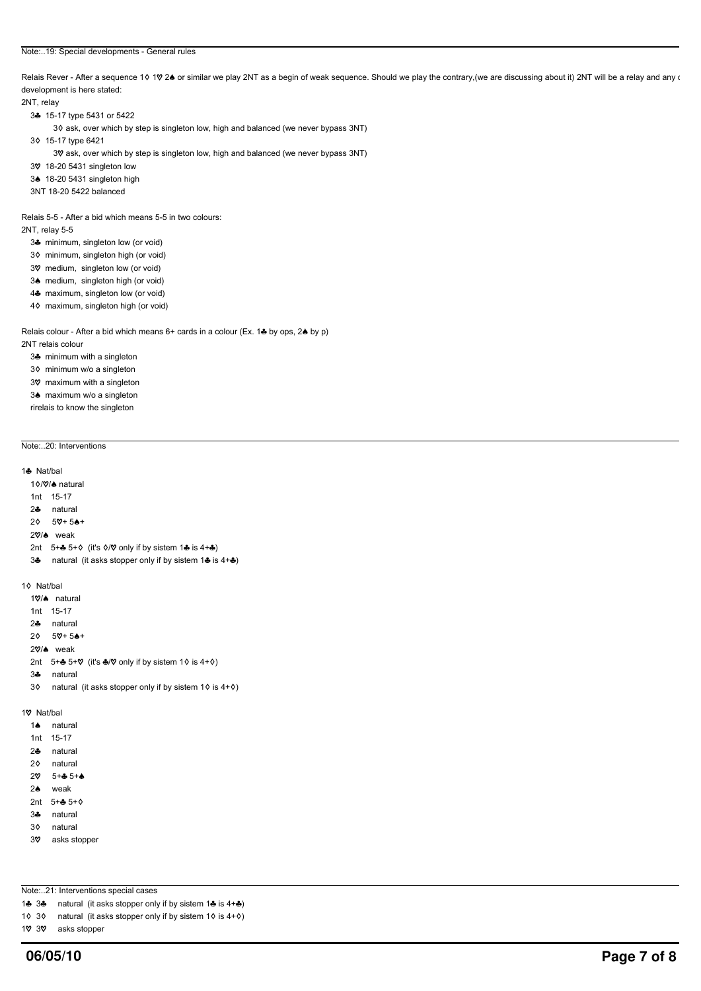#### Note:..19: Special developments - General rules

Relais Rever - After a sequence 10 10 24 or similar we play 2NT as a begin of weak sequence. Should we play the contrary,(we are discussing about it) 2NT will be a relay and any or the chay and any or development is here stated:

### 2NT, relay

- 3} 15-17 type 5431 or 5422
	- 3¢ ask, over which by step is singleton low, high and balanced (we never bypass 3NT)
- 3{ 15-17 type 6421
	- 3 $\%$  ask, over which by step is singleton low, high and balanced (we never bypass 3NT)
- 3 $9$  18-20 5431 singleton low
- 3<sup>4</sup> 18-20 5431 singleton high
- 3NT 18-20 5422 balanced

Relais 5-5 - After a bid which means 5-5 in two colours:

- 2NT, relay 5-5
	- 34 minimum, singleton low (or void)
	- 3 $\diamond$  minimum, singleton high (or void)
	- 3 $\heartsuit$  medium, singleton low (or void)
	- 3<sup> $\bullet$ </sup> medium, singleton high (or void)
	- 4<del>2</del> maximum, singleton low (or void)
	- 4 $\diamond$  maximum, singleton high (or void)

Relais colour - After a bid which means  $6+$  cards in a colour (Ex. 14 by ops, 24 by p) 2NT relais colour

- 3<sup>3</sup> minimum with a singleton
- 3 $\diamond$  minimum w/o a singleton
- 3 $%$  maximum with a singleton
- 3<sup>4</sup> maximum w/o a singleton
- rirelais to know the singleton

# Note:..20: Interventions

## 1& Nat/hal

- 10/0% natural
- 1nt 15-17
- 2} natural
- $2\phi$  5\, 5\, 5\, 6+
- 20% weak
- 2nt  $5+$  5+ $\diamond$  (it's  $\diamond$ / $\heartsuit$  only if by sistem 1 & is 4+  $\diamondsuit$ )
- 3 $\clubsuit$  natural (it asks stopper only if by sistem 1 $\clubsuit$  is 4+ $\clubsuit$ )

# 10 Nat/bal

- 10/4 natural
- 1nt 15-17
- 2} natural
- $2\phi$  5 $\nabla + 5$  $\nabla +$
- 20% weak
- 2nt  $5+$  5+ $\heartsuit$  (it's  $\clubsuit$ / $\heartsuit$  only if by sistem 1 $\diamond$  is 4+ $\diamond$ )
- 3} natural
- 3 $\circ$  natural (it asks stopper only if by sistem 1 $\circ$  is 4+ $\circ$ )

## 1 $%$  Nat/bal

- 1<sup>4</sup> natural
- 1nt 15-17
- 2} natural
- 2 $\lozenge$  natural
- $20$   $5+45+4$
- 2<sup>4</sup> weak
- 2nt  $5 + 2 + 5 + 6$
- 3} natural
- 3<sup>o</sup> natural
- 3 $%$  asks stopper

Note:..21: Interventions special cases

- 14 34 natural (it asks stopper only if by sistem 14 is 4+4)
- 1 $\Diamond$  3 $\Diamond$  natural (it asks stopper only if by sistem 1 $\Diamond$  is 4+ $\Diamond$ )
- 1 $\%$  3 $\%$  asks stopper